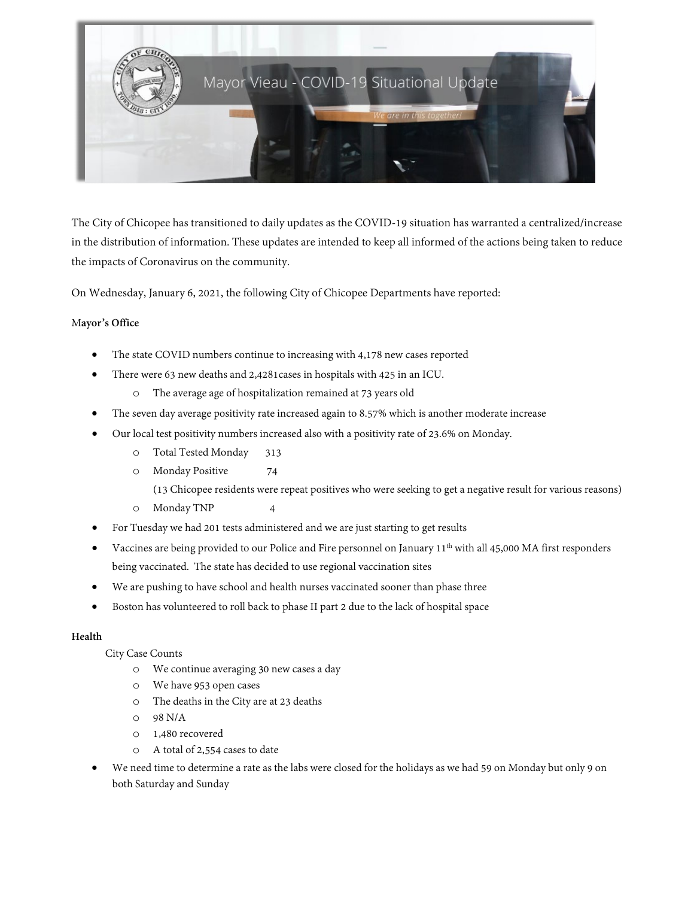

The City of Chicopee has transitioned to daily updates as the COVID-19 situation has warranted a centralized/increase in the distribution of information. These updates are intended to keep all informed of the actions being taken to reduce the impacts of Coronavirus on the community.

On Wednesday, January 6, 2021, the following City of Chicopee Departments have reported:

## M**ayor's Office**

- The state COVID numbers continue to increasing with 4,178 new cases reported
- There were 63 new deaths and 2,4281cases in hospitals with 425 in an ICU.
	- o The average age of hospitalization remained at 73 years old
- The seven day average positivity rate increased again to 8.57% which is another moderate increase
- Our local test positivity numbers increased also with a positivity rate of 23.6% on Monday.
	- o Total Tested Monday 313
	- o Monday Positive 74
		- (13 Chicopee residents were repeat positives who were seeking to get a negative result for various reasons)
	- o Monday TNP 4
- For Tuesday we had 201 tests administered and we are just starting to get results
- Vaccines are being provided to our Police and Fire personnel on January  $11<sup>th</sup>$  with all 45,000 MA first responders being vaccinated. The state has decided to use regional vaccination sites
- We are pushing to have school and health nurses vaccinated sooner than phase three
- Boston has volunteered to roll back to phase II part 2 due to the lack of hospital space

## **Health**

City Case Counts

- o We continue averaging 30 new cases a day
- o We have 953 open cases
- o The deaths in the City are at 23 deaths
- o 98 N/A
- o 1,480 recovered
- o A total of 2,554 cases to date
- We need time to determine a rate as the labs were closed for the holidays as we had 59 on Monday but only 9 on both Saturday and Sunday